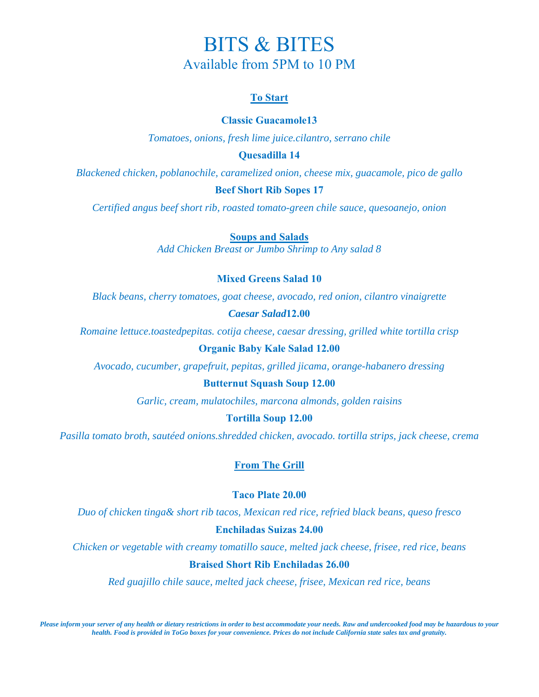# BITS & BITES Available from 5PM to 10 PM

# **To Start**

# **Classic Guacamole13**

*Tomatoes, onions, fresh lime juice.cilantro, serrano chile* 

## **Quesadilla 14**

*Blackened chicken, poblanochile, caramelized onion, cheese mix, guacamole, pico de gallo* 

## **Beef Short Rib Sopes 17**

*Certified angus beef short rib, roasted tomato-green chile sauce, quesoanejo, onion* 

**Soups and Salads**

*Add Chicken Breast or Jumbo Shrimp to Any salad 8* 

## **Mixed Greens Salad 10**

*Black beans, cherry tomatoes, goat cheese, avocado, red onion, cilantro vinaigrette* 

### *Caesar Salad***12.00**

*Romaine lettuce.toastedpepitas. cotija cheese, caesar dressing, grilled white tortilla crisp*

# **Organic Baby Kale Salad 12.00**

*Avocado, cucumber, grapefruit, pepitas, grilled jicama, orange-habanero dressing* 

### **Butternut Squash Soup 12.00**

*Garlic, cream, mulatochiles, marcona almonds, golden raisins* 

## **Tortilla Soup 12.00**

*Pasilla tomato broth, sautéed onions.shredded chicken, avocado. tortilla strips, jack cheese, crema* 

# **From The Grill**

## **Taco Plate 20.00**

*Duo of chicken tinga& short rib tacos, Mexican red rice, refried black beans, queso fresco* 

## **Enchiladas Suizas 24.00**

*Chicken or vegetable with creamy tomatillo sauce, melted jack cheese, frisee, red rice, beans* 

#### **Braised Short Rib Enchiladas 26.00**

*Red guajillo chile sauce, melted jack cheese, frisee, Mexican red rice, beans*

*Please inform your server of any health or dietary restrictions in order to best accommodate your needs. Raw and undercooked food may be hazardous to your health. Food is provided in ToGo boxes for your convenience. Prices do not include California state sales tax and gratuity.*